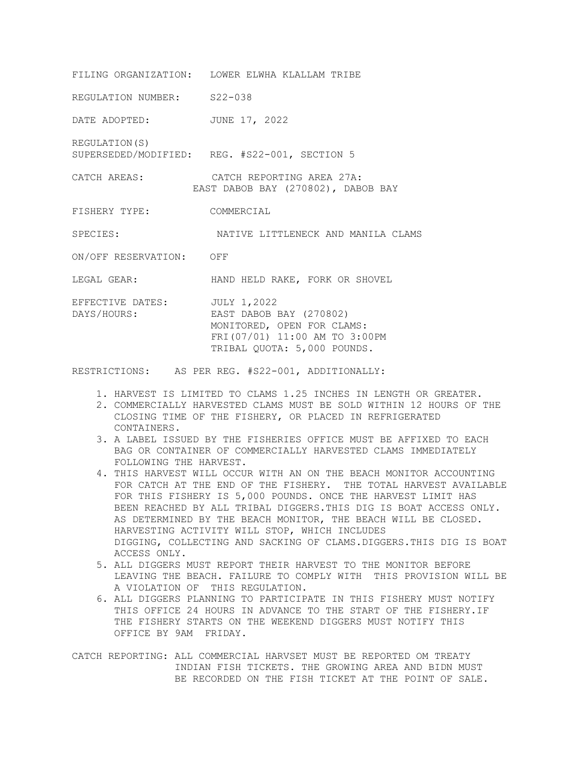FILING ORGANIZATION: LOWER ELWHA KLALLAM TRIBE REGULATION NUMBER: S22-038 DATE ADOPTED: JUNE 17, 2022 REGULATION(S) SUPERSEDED/MODIFIED: REG. #S22-001, SECTION 5 CATCH AREAS: CATCH REPORTING AREA 27A: EAST DABOB BAY (270802), DABOB BAY FISHERY TYPE: COMMERCIAL SPECIES: NATIVE LITTLENECK AND MANILA CLAMS ON/OFF RESERVATION: OFF LEGAL GEAR: HAND HELD RAKE, FORK OR SHOVEL EFFECTIVE DATES: JULY 1,2022 DAYS/HOURS: EAST DABOB BAY (270802) MONITORED, OPEN FOR CLAMS:

FRI(07/01) 11:00 AM TO 3:00PM TRIBAL QUOTA: 5,000 POUNDS.

RESTRICTIONS: AS PER REG. #S22-001, ADDITIONALLY:

- 1. HARVEST IS LIMITED TO CLAMS 1.25 INCHES IN LENGTH OR GREATER.
- 2. COMMERCIALLY HARVESTED CLAMS MUST BE SOLD WITHIN 12 HOURS OF THE CLOSING TIME OF THE FISHERY, OR PLACED IN REFRIGERATED CONTAINERS.
- 3. A LABEL ISSUED BY THE FISHERIES OFFICE MUST BE AFFIXED TO EACH BAG OR CONTAINER OF COMMERCIALLY HARVESTED CLAMS IMMEDIATELY FOLLOWING THE HARVEST.
- 4. THIS HARVEST WILL OCCUR WITH AN ON THE BEACH MONITOR ACCOUNTING FOR CATCH AT THE END OF THE FISHERY. THE TOTAL HARVEST AVAILABLE FOR THIS FISHERY IS 5,000 POUNDS. ONCE THE HARVEST LIMIT HAS BEEN REACHED BY ALL TRIBAL DIGGERS.THIS DIG IS BOAT ACCESS ONLY. AS DETERMINED BY THE BEACH MONITOR, THE BEACH WILL BE CLOSED. HARVESTING ACTIVITY WILL STOP, WHICH INCLUDES DIGGING, COLLECTING AND SACKING OF CLAMS.DIGGERS.THIS DIG IS BOAT ACCESS ONLY.
- 5. ALL DIGGERS MUST REPORT THEIR HARVEST TO THE MONITOR BEFORE LEAVING THE BEACH. FAILURE TO COMPLY WITH THIS PROVISION WILL BE A VIOLATION OF THIS REGULATION.
- 6. ALL DIGGERS PLANNING TO PARTICIPATE IN THIS FISHERY MUST NOTIFY THIS OFFICE 24 HOURS IN ADVANCE TO THE START OF THE FISHERY.IF THE FISHERY STARTS ON THE WEEKEND DIGGERS MUST NOTIFY THIS OFFICE BY 9AM FRIDAY.

CATCH REPORTING: ALL COMMERCIAL HARVSET MUST BE REPORTED OM TREATY INDIAN FISH TICKETS. THE GROWING AREA AND BIDN MUST BE RECORDED ON THE FISH TICKET AT THE POINT OF SALE.